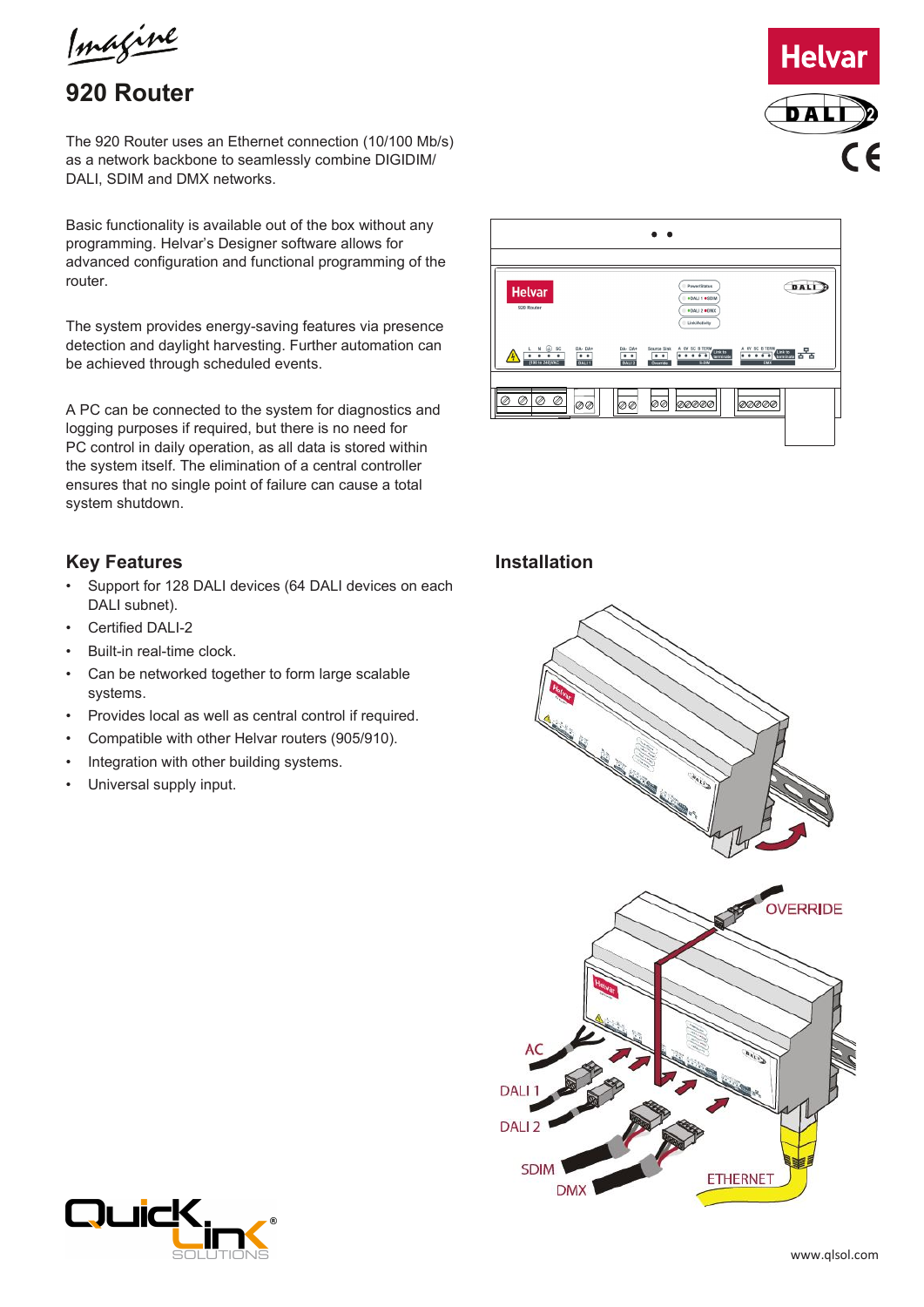Imagine

# **920 Router**

The 920 Router uses an Ethernet connection (10/100 Mb/s) as a network backbone to seamlessly combine DIGIDIM/ DALI, SDIM and DMX networks.

Basic functionality is available out of the box without any programming. Helvar's Designer software allows for advanced configuration and functional programming of the router.

The system provides energy-saving features via presence detection and daylight harvesting. Further automation can be achieved through scheduled events.

A PC can be connected to the system for diagnostics and logging purposes if required, but there is no need for PC control in daily operation, as all data is stored within the system itself. The elimination of a central controller ensures that no single point of failure can cause a total system shutdown.

## **Key Features**

- Support for 128 DALI devices (64 DALI devices on each DALI subnet).
- Certified DALI-2
- Built-in real-time clock.
- Can be networked together to form large scalable systems.
- Provides local as well as central control if required.
- Compatible with other Helvar routers (905/910).
- Integration with other building systems.
- Universal supply input.



#### **Installation**